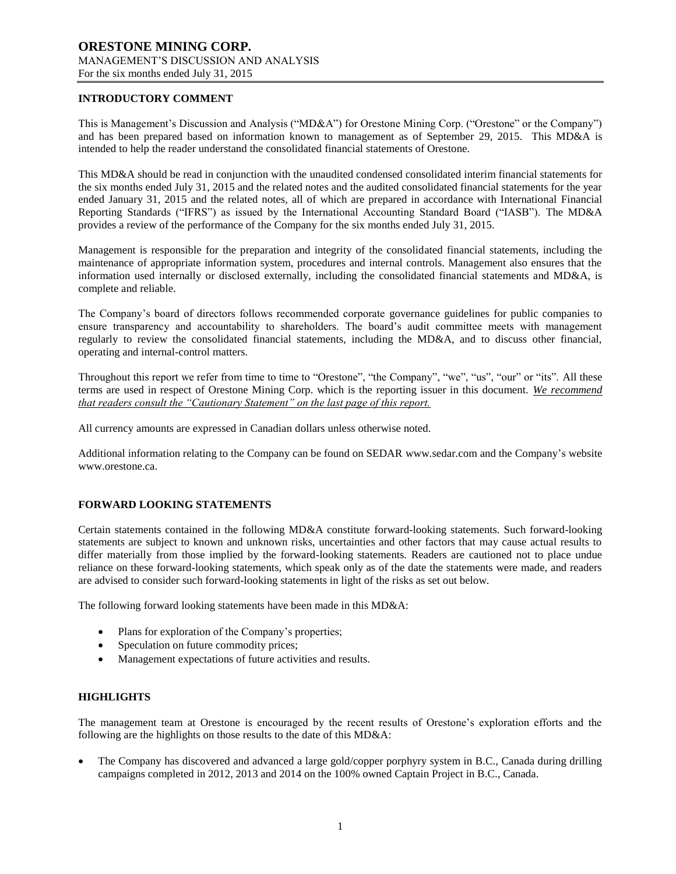## **INTRODUCTORY COMMENT**

This is Management's Discussion and Analysis ("MD&A") for Orestone Mining Corp. ("Orestone" or the Company") and has been prepared based on information known to management as of September 29, 2015. This MD&A is intended to help the reader understand the consolidated financial statements of Orestone.

This MD&A should be read in conjunction with the unaudited condensed consolidated interim financial statements for the six months ended July 31, 2015 and the related notes and the audited consolidated financial statements for the year ended January 31, 2015 and the related notes, all of which are prepared in accordance with International Financial Reporting Standards ("IFRS") as issued by the International Accounting Standard Board ("IASB"). The MD&A provides a review of the performance of the Company for the six months ended July 31, 2015.

Management is responsible for the preparation and integrity of the consolidated financial statements, including the maintenance of appropriate information system, procedures and internal controls. Management also ensures that the information used internally or disclosed externally, including the consolidated financial statements and MD&A, is complete and reliable.

The Company's board of directors follows recommended corporate governance guidelines for public companies to ensure transparency and accountability to shareholders. The board's audit committee meets with management regularly to review the consolidated financial statements, including the MD&A, and to discuss other financial, operating and internal-control matters.

Throughout this report we refer from time to time to "Orestone", "the Company", "we", "us", "our" or "its". All these terms are used in respect of Orestone Mining Corp. which is the reporting issuer in this document. *We recommend that readers consult the "Cautionary Statement" on the last page of this report.*

All currency amounts are expressed in Canadian dollars unless otherwise noted.

Additional information relating to the Company can be found on SEDAR www.sedar.com and the Company's website www.orestone.ca.

## **FORWARD LOOKING STATEMENTS**

Certain statements contained in the following MD&A constitute forward-looking statements. Such forward-looking statements are subject to known and unknown risks, uncertainties and other factors that may cause actual results to differ materially from those implied by the forward-looking statements. Readers are cautioned not to place undue reliance on these forward-looking statements, which speak only as of the date the statements were made, and readers are advised to consider such forward-looking statements in light of the risks as set out below.

The following forward looking statements have been made in this MD&A:

- Plans for exploration of the Company's properties;
- Speculation on future commodity prices;
- Management expectations of future activities and results.

#### **HIGHLIGHTS**

The management team at Orestone is encouraged by the recent results of Orestone's exploration efforts and the following are the highlights on those results to the date of this MD&A:

 The Company has discovered and advanced a large gold/copper porphyry system in B.C., Canada during drilling campaigns completed in 2012, 2013 and 2014 on the 100% owned Captain Project in B.C., Canada.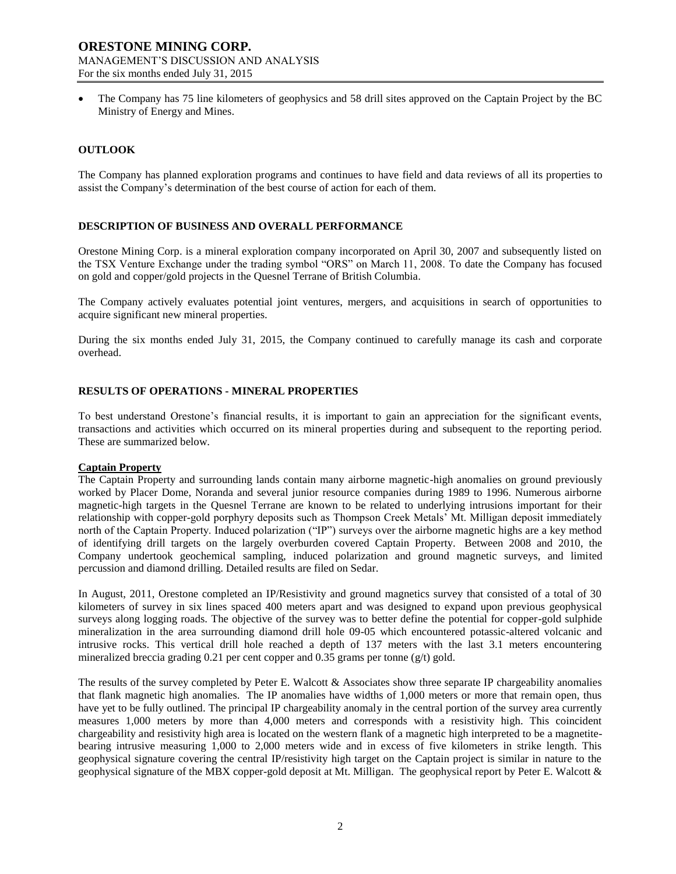The Company has 75 line kilometers of geophysics and 58 drill sites approved on the Captain Project by the BC Ministry of Energy and Mines.

### **OUTLOOK**

The Company has planned exploration programs and continues to have field and data reviews of all its properties to assist the Company's determination of the best course of action for each of them.

### **DESCRIPTION OF BUSINESS AND OVERALL PERFORMANCE**

Orestone Mining Corp. is a mineral exploration company incorporated on April 30, 2007 and subsequently listed on the TSX Venture Exchange under the trading symbol "ORS" on March 11, 2008. To date the Company has focused on gold and copper/gold projects in the Quesnel Terrane of British Columbia.

The Company actively evaluates potential joint ventures, mergers, and acquisitions in search of opportunities to acquire significant new mineral properties.

During the six months ended July 31, 2015, the Company continued to carefully manage its cash and corporate overhead.

### **RESULTS OF OPERATIONS - MINERAL PROPERTIES**

To best understand Orestone's financial results, it is important to gain an appreciation for the significant events, transactions and activities which occurred on its mineral properties during and subsequent to the reporting period. These are summarized below.

#### **Captain Property**

The Captain Property and surrounding lands contain many airborne magnetic-high anomalies on ground previously worked by Placer Dome, Noranda and several junior resource companies during 1989 to 1996. Numerous airborne magnetic-high targets in the Quesnel Terrane are known to be related to underlying intrusions important for their relationship with copper-gold porphyry deposits such as Thompson Creek Metals' Mt. Milligan deposit immediately north of the Captain Property. Induced polarization ("IP") surveys over the airborne magnetic highs are a key method of identifying drill targets on the largely overburden covered Captain Property. Between 2008 and 2010, the Company undertook geochemical sampling, induced polarization and ground magnetic surveys, and limited percussion and diamond drilling. Detailed results are filed on Sedar.

In August, 2011, Orestone completed an IP/Resistivity and ground magnetics survey that consisted of a total of 30 kilometers of survey in six lines spaced 400 meters apart and was designed to expand upon previous geophysical surveys along logging roads. The objective of the survey was to better define the potential for copper-gold sulphide mineralization in the area surrounding diamond drill hole 09-05 which encountered potassic-altered volcanic and intrusive rocks. This vertical drill hole reached a depth of 137 meters with the last 3.1 meters encountering mineralized breccia grading 0.21 per cent copper and  $0.35$  grams per tonne (g/t) gold.

The results of the survey completed by Peter E. Walcott & Associates show three separate IP chargeability anomalies that flank magnetic high anomalies. The IP anomalies have widths of 1,000 meters or more that remain open, thus have yet to be fully outlined. The principal IP chargeability anomaly in the central portion of the survey area currently measures 1,000 meters by more than 4,000 meters and corresponds with a resistivity high. This coincident chargeability and resistivity high area is located on the western flank of a magnetic high interpreted to be a magnetitebearing intrusive measuring 1,000 to 2,000 meters wide and in excess of five kilometers in strike length. This geophysical signature covering the central IP/resistivity high target on the Captain project is similar in nature to the geophysical signature of the MBX copper-gold deposit at Mt. Milligan. The geophysical report by Peter E. Walcott &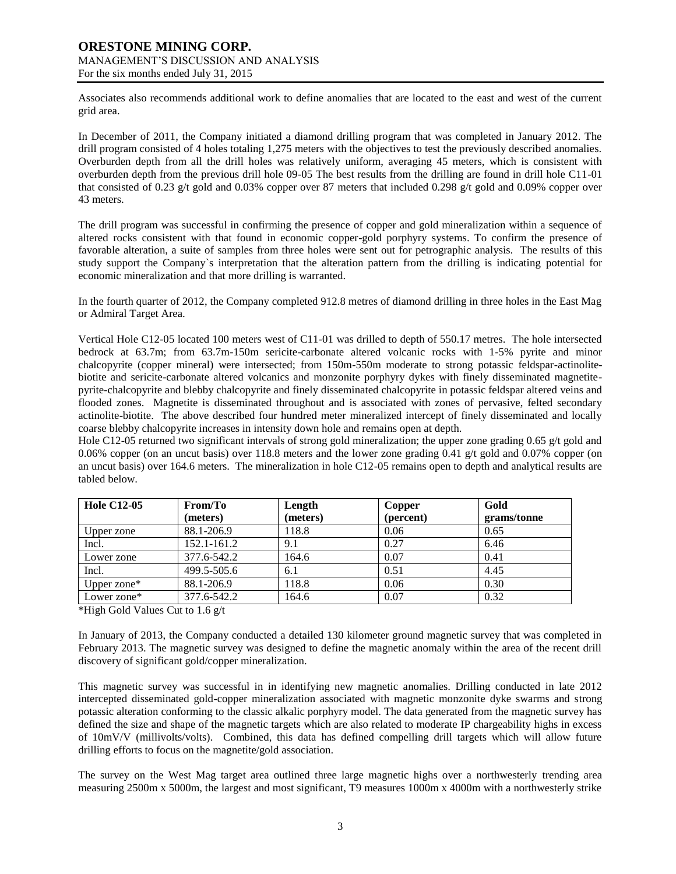Associates also recommends additional work to define anomalies that are located to the east and west of the current grid area.

In December of 2011, the Company initiated a diamond drilling program that was completed in January 2012. The drill program consisted of 4 holes totaling 1,275 meters with the objectives to test the previously described anomalies. Overburden depth from all the drill holes was relatively uniform, averaging 45 meters, which is consistent with overburden depth from the previous drill hole 09-05 The best results from the drilling are found in drill hole C11-01 that consisted of 0.23 g/t gold and 0.03% copper over 87 meters that included 0.298 g/t gold and 0.09% copper over 43 meters.

The drill program was successful in confirming the presence of copper and gold mineralization within a sequence of altered rocks consistent with that found in economic copper-gold porphyry systems. To confirm the presence of favorable alteration, a suite of samples from three holes were sent out for petrographic analysis. The results of this study support the Company`s interpretation that the alteration pattern from the drilling is indicating potential for economic mineralization and that more drilling is warranted.

In the fourth quarter of 2012, the Company completed 912.8 metres of diamond drilling in three holes in the East Mag or Admiral Target Area.

Vertical Hole C12-05 located 100 meters west of C11-01 was drilled to depth of 550.17 metres. The hole intersected bedrock at 63.7m; from 63.7m-150m sericite-carbonate altered volcanic rocks with 1-5% pyrite and minor chalcopyrite (copper mineral) were intersected; from 150m-550m moderate to strong potassic feldspar-actinolitebiotite and sericite-carbonate altered volcanics and monzonite porphyry dykes with finely disseminated magnetitepyrite-chalcopyrite and blebby chalcopyrite and finely disseminated chalcopyrite in potassic feldspar altered veins and flooded zones. Magnetite is disseminated throughout and is associated with zones of pervasive, felted secondary actinolite-biotite. The above described four hundred meter mineralized intercept of finely disseminated and locally coarse blebby chalcopyrite increases in intensity down hole and remains open at depth.

Hole C12-05 returned two significant intervals of strong gold mineralization; the upper zone grading 0.65 g/t gold and 0.06% copper (on an uncut basis) over 118.8 meters and the lower zone grading 0.41 g/t gold and 0.07% copper (on an uncut basis) over 164.6 meters. The mineralization in hole C12-05 remains open to depth and analytical results are tabled below.

| <b>Hole C12-05</b> | From/To     | Length   | Copper    | Gold        |  |
|--------------------|-------------|----------|-----------|-------------|--|
|                    | (meters)    | (meters) | (percent) | grams/tonne |  |
| Upper zone         | 88.1-206.9  | 118.8    | 0.06      | 0.65        |  |
| Incl.              | 152.1-161.2 | 9.1      | 0.27      | 6.46        |  |
| Lower zone         | 377.6-542.2 | 164.6    | 0.07      | 0.41        |  |
| Incl.              | 499.5-505.6 | 6.1      | 0.51      | 4.45        |  |
| Upper zone*        | 88.1-206.9  | 118.8    | 0.06      | 0.30        |  |
| Lower zone*        | 377.6-542.2 | 164.6    | 0.07      | 0.32        |  |

\*High Gold Values Cut to 1.6 g/t

In January of 2013, the Company conducted a detailed 130 kilometer ground magnetic survey that was completed in February 2013. The magnetic survey was designed to define the magnetic anomaly within the area of the recent drill discovery of significant gold/copper mineralization.

This magnetic survey was successful in in identifying new magnetic anomalies. Drilling conducted in late 2012 intercepted disseminated gold-copper mineralization associated with magnetic monzonite dyke swarms and strong potassic alteration conforming to the classic alkalic porphyry model. The data generated from the magnetic survey has defined the size and shape of the magnetic targets which are also related to moderate IP chargeability highs in excess of 10mV/V (millivolts/volts). Combined, this data has defined compelling drill targets which will allow future drilling efforts to focus on the magnetite/gold association.

The survey on the West Mag target area outlined three large magnetic highs over a northwesterly trending area measuring 2500m x 5000m, the largest and most significant, T9 measures 1000m x 4000m with a northwesterly strike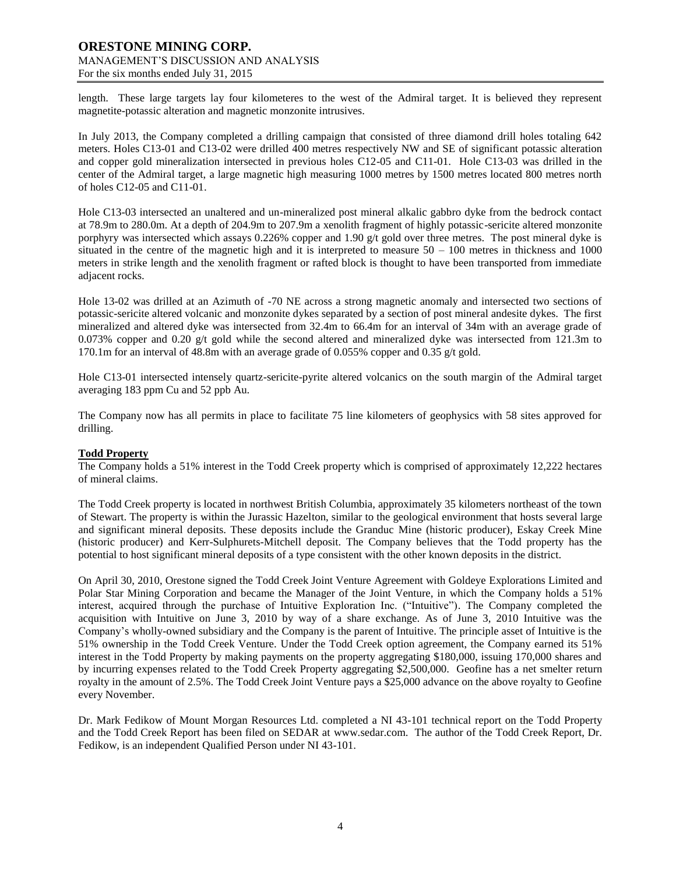length. These large targets lay four kilometeres to the west of the Admiral target. It is believed they represent magnetite-potassic alteration and magnetic monzonite intrusives.

In July 2013, the Company completed a drilling campaign that consisted of three diamond drill holes totaling 642 meters. Holes C13-01 and C13-02 were drilled 400 metres respectively NW and SE of significant potassic alteration and copper gold mineralization intersected in previous holes C12-05 and C11-01. Hole C13-03 was drilled in the center of the Admiral target, a large magnetic high measuring 1000 metres by 1500 metres located 800 metres north of holes C12-05 and C11-01.

Hole C13-03 intersected an unaltered and un-mineralized post mineral alkalic gabbro dyke from the bedrock contact at 78.9m to 280.0m. At a depth of 204.9m to 207.9m a xenolith fragment of highly potassic-sericite altered monzonite porphyry was intersected which assays 0.226% copper and 1.90 g/t gold over three metres. The post mineral dyke is situated in the centre of the magnetic high and it is interpreted to measure  $50 - 100$  metres in thickness and 1000 meters in strike length and the xenolith fragment or rafted block is thought to have been transported from immediate adjacent rocks.

Hole 13-02 was drilled at an Azimuth of -70 NE across a strong magnetic anomaly and intersected two sections of potassic-sericite altered volcanic and monzonite dykes separated by a section of post mineral andesite dykes. The first mineralized and altered dyke was intersected from 32.4m to 66.4m for an interval of 34m with an average grade of 0.073% copper and 0.20 g/t gold while the second altered and mineralized dyke was intersected from 121.3m to 170.1m for an interval of 48.8m with an average grade of 0.055% copper and 0.35 g/t gold.

Hole C13-01 intersected intensely quartz-sericite-pyrite altered volcanics on the south margin of the Admiral target averaging 183 ppm Cu and 52 ppb Au.

The Company now has all permits in place to facilitate 75 line kilometers of geophysics with 58 sites approved for drilling.

#### **Todd Property**

The Company holds a 51% interest in the Todd Creek property which is comprised of approximately 12,222 hectares of mineral claims.

The Todd Creek property is located in northwest British Columbia, approximately 35 kilometers northeast of the town of Stewart. The property is within the Jurassic Hazelton, similar to the geological environment that hosts several large and significant mineral deposits. These deposits include the Granduc Mine (historic producer), Eskay Creek Mine (historic producer) and Kerr-Sulphurets-Mitchell deposit. The Company believes that the Todd property has the potential to host significant mineral deposits of a type consistent with the other known deposits in the district.

On April 30, 2010, Orestone signed the Todd Creek Joint Venture Agreement with Goldeye Explorations Limited and Polar Star Mining Corporation and became the Manager of the Joint Venture, in which the Company holds a 51% interest, acquired through the purchase of Intuitive Exploration Inc. ("Intuitive"). The Company completed the acquisition with Intuitive on June 3, 2010 by way of a share exchange. As of June 3, 2010 Intuitive was the Company's wholly-owned subsidiary and the Company is the parent of Intuitive. The principle asset of Intuitive is the 51% ownership in the Todd Creek Venture. Under the Todd Creek option agreement, the Company earned its 51% interest in the Todd Property by making payments on the property aggregating \$180,000, issuing 170,000 shares and by incurring expenses related to the Todd Creek Property aggregating \$2,500,000. Geofine has a net smelter return royalty in the amount of 2.5%. The Todd Creek Joint Venture pays a \$25,000 advance on the above royalty to Geofine every November.

Dr. Mark Fedikow of Mount Morgan Resources Ltd. completed a NI 43-101 technical report on the Todd Property and the Todd Creek Report has been filed on SEDAR at [www.sedar.com.](http://www.sedar.com/) The author of the Todd Creek Report, Dr. Fedikow, is an independent Qualified Person under NI 43-101.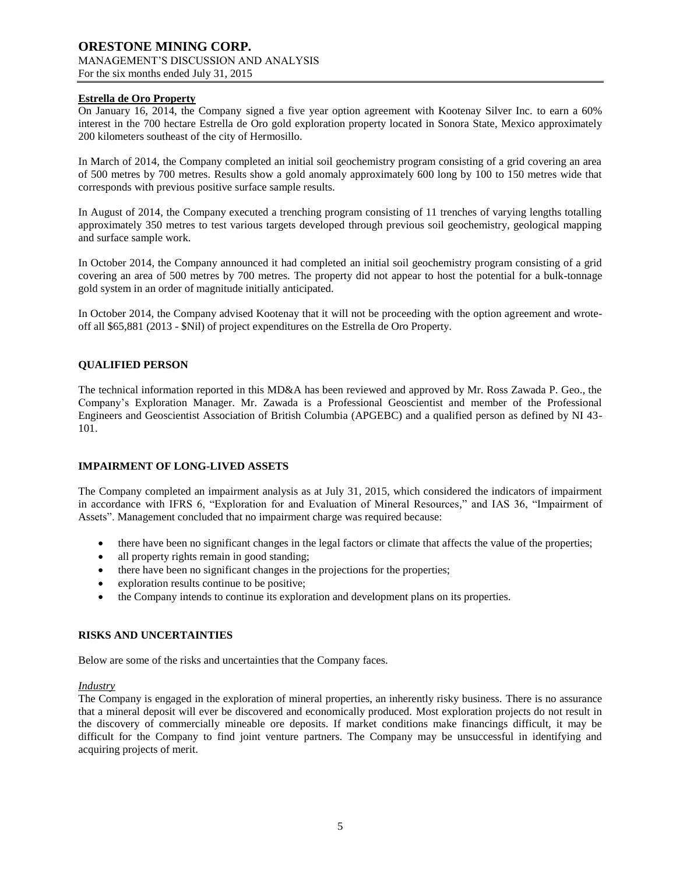## **Estrella de Oro Property**

On January 16, 2014, the Company signed a five year option agreement with Kootenay Silver Inc. to earn a 60% interest in the 700 hectare Estrella de Oro gold exploration property located in Sonora State, Mexico approximately 200 kilometers southeast of the city of Hermosillo.

In March of 2014, the Company completed an initial soil geochemistry program consisting of a grid covering an area of 500 metres by 700 metres. Results show a gold anomaly approximately 600 long by 100 to 150 metres wide that corresponds with previous positive surface sample results.

In August of 2014, the Company executed a trenching program consisting of 11 trenches of varying lengths totalling approximately 350 metres to test various targets developed through previous soil geochemistry, geological mapping and surface sample work.

In October 2014, the Company announced it had completed an initial soil geochemistry program consisting of a grid covering an area of 500 metres by 700 metres. The property did not appear to host the potential for a bulk-tonnage gold system in an order of magnitude initially anticipated.

In October 2014, the Company advised Kootenay that it will not be proceeding with the option agreement and wroteoff all \$65,881 (2013 - \$Nil) of project expenditures on the Estrella de Oro Property.

## **QUALIFIED PERSON**

The technical information reported in this MD&A has been reviewed and approved by Mr. Ross Zawada P. Geo., the Company's Exploration Manager. Mr. Zawada is a Professional Geoscientist and member of the Professional Engineers and Geoscientist Association of British Columbia (APGEBC) and a qualified person as defined by NI 43- 101.

#### **IMPAIRMENT OF LONG-LIVED ASSETS**

The Company completed an impairment analysis as at July 31, 2015, which considered the indicators of impairment in accordance with IFRS 6, "Exploration for and Evaluation of Mineral Resources," and IAS 36, "Impairment of Assets". Management concluded that no impairment charge was required because:

- there have been no significant changes in the legal factors or climate that affects the value of the properties;
- all property rights remain in good standing;
- there have been no significant changes in the projections for the properties;
- exploration results continue to be positive;
- the Company intends to continue its exploration and development plans on its properties.

#### **RISKS AND UNCERTAINTIES**

Below are some of the risks and uncertainties that the Company faces.

#### *Industry*

The Company is engaged in the exploration of mineral properties, an inherently risky business. There is no assurance that a mineral deposit will ever be discovered and economically produced. Most exploration projects do not result in the discovery of commercially mineable ore deposits. If market conditions make financings difficult, it may be difficult for the Company to find joint venture partners. The Company may be unsuccessful in identifying and acquiring projects of merit.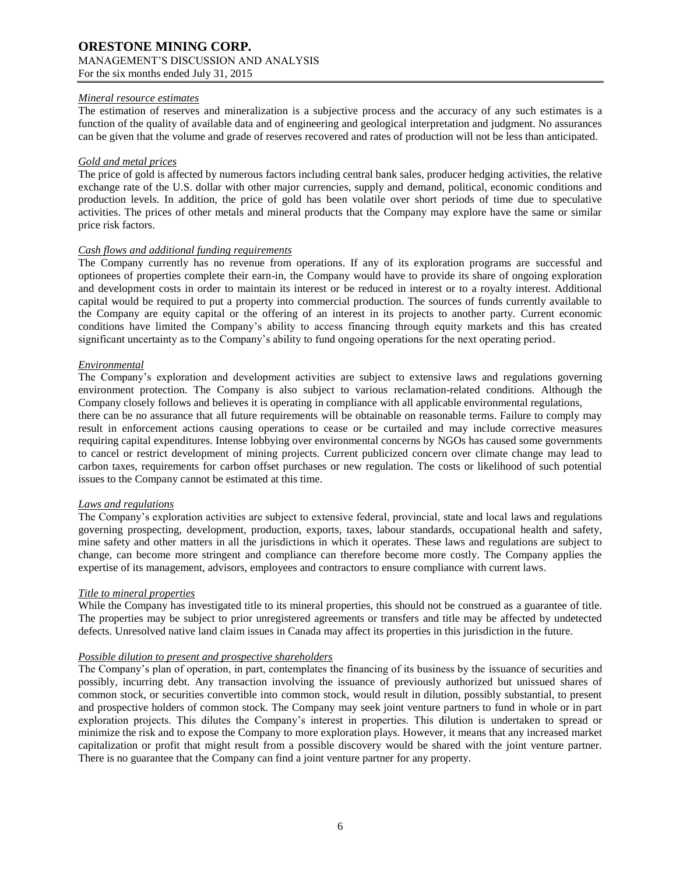### *Mineral resource estimates*

The estimation of reserves and mineralization is a subjective process and the accuracy of any such estimates is a function of the quality of available data and of engineering and geological interpretation and judgment. No assurances can be given that the volume and grade of reserves recovered and rates of production will not be less than anticipated.

### *Gold and metal prices*

The price of gold is affected by numerous factors including central bank sales, producer hedging activities, the relative exchange rate of the U.S. dollar with other major currencies, supply and demand, political, economic conditions and production levels. In addition, the price of gold has been volatile over short periods of time due to speculative activities. The prices of other metals and mineral products that the Company may explore have the same or similar price risk factors.

### *Cash flows and additional funding requirements*

The Company currently has no revenue from operations. If any of its exploration programs are successful and optionees of properties complete their earn-in, the Company would have to provide its share of ongoing exploration and development costs in order to maintain its interest or be reduced in interest or to a royalty interest. Additional capital would be required to put a property into commercial production. The sources of funds currently available to the Company are equity capital or the offering of an interest in its projects to another party. Current economic conditions have limited the Company's ability to access financing through equity markets and this has created significant uncertainty as to the Company's ability to fund ongoing operations for the next operating period.

### *Environmental*

The Company's exploration and development activities are subject to extensive laws and regulations governing environment protection. The Company is also subject to various reclamation-related conditions. Although the Company closely follows and believes it is operating in compliance with all applicable environmental regulations, there can be no assurance that all future requirements will be obtainable on reasonable terms. Failure to comply may result in enforcement actions causing operations to cease or be curtailed and may include corrective measures requiring capital expenditures. Intense lobbying over environmental concerns by NGOs has caused some governments to cancel or restrict development of mining projects. Current publicized concern over climate change may lead to carbon taxes, requirements for carbon offset purchases or new regulation. The costs or likelihood of such potential

## *Laws and regulations*

The Company's exploration activities are subject to extensive federal, provincial, state and local laws and regulations governing prospecting, development, production, exports, taxes, labour standards, occupational health and safety, mine safety and other matters in all the jurisdictions in which it operates. These laws and regulations are subject to change, can become more stringent and compliance can therefore become more costly. The Company applies the expertise of its management, advisors, employees and contractors to ensure compliance with current laws.

## *Title to mineral properties*

While the Company has investigated title to its mineral properties, this should not be construed as a guarantee of title. The properties may be subject to prior unregistered agreements or transfers and title may be affected by undetected defects. Unresolved native land claim issues in Canada may affect its properties in this jurisdiction in the future.

## *Possible dilution to present and prospective shareholders*

issues to the Company cannot be estimated at this time.

The Company's plan of operation, in part, contemplates the financing of its business by the issuance of securities and possibly, incurring debt. Any transaction involving the issuance of previously authorized but unissued shares of common stock, or securities convertible into common stock, would result in dilution, possibly substantial, to present and prospective holders of common stock. The Company may seek joint venture partners to fund in whole or in part exploration projects. This dilutes the Company's interest in properties. This dilution is undertaken to spread or minimize the risk and to expose the Company to more exploration plays. However, it means that any increased market capitalization or profit that might result from a possible discovery would be shared with the joint venture partner. There is no guarantee that the Company can find a joint venture partner for any property.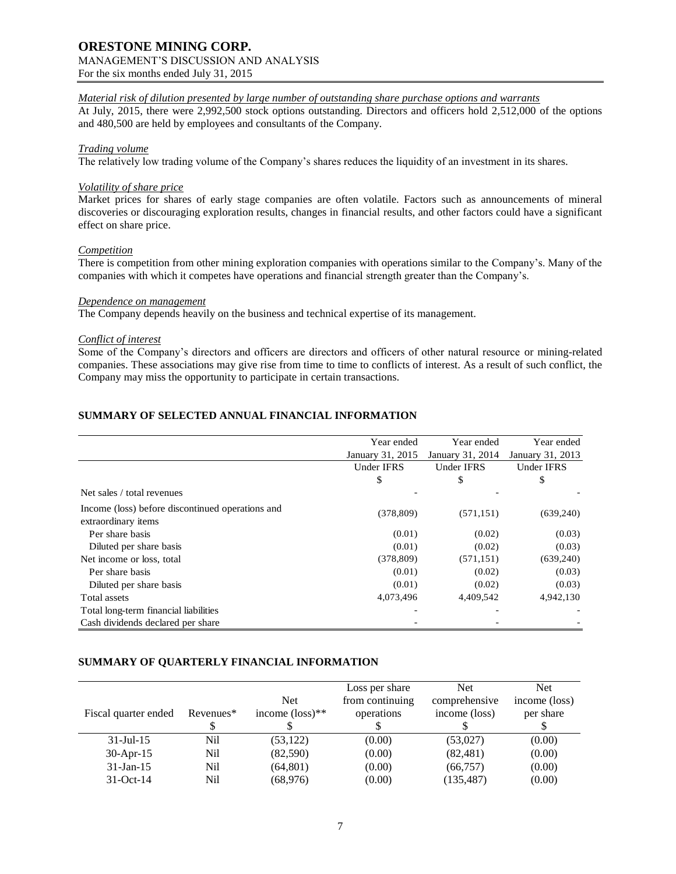## **ORESTONE MINING CORP.** MANAGEMENT'S DISCUSSION AND ANALYSIS

For the six months ended July 31, 2015

## *Material risk of dilution presented by large number of outstanding share purchase options and warrants*

At July, 2015, there were 2,992,500 stock options outstanding. Directors and officers hold 2,512,000 of the options and 480,500 are held by employees and consultants of the Company.

## *Trading volume*

The relatively low trading volume of the Company's shares reduces the liquidity of an investment in its shares.

### *Volatility of share price*

Market prices for shares of early stage companies are often volatile. Factors such as announcements of mineral discoveries or discouraging exploration results, changes in financial results, and other factors could have a significant effect on share price.

#### *Competition*

There is competition from other mining exploration companies with operations similar to the Company's. Many of the companies with which it competes have operations and financial strength greater than the Company's.

#### *Dependence on management*

The Company depends heavily on the business and technical expertise of its management.

## *Conflict of interest*

Some of the Company's directors and officers are directors and officers of other natural resource or mining-related companies. These associations may give rise from time to time to conflicts of interest. As a result of such conflict, the Company may miss the opportunity to participate in certain transactions.

# **SUMMARY OF SELECTED ANNUAL FINANCIAL INFORMATION**

|                                                                         | Year ended       | Year ended        | Year ended       |
|-------------------------------------------------------------------------|------------------|-------------------|------------------|
|                                                                         | January 31, 2015 | January 31, 2014  | January 31, 2013 |
|                                                                         | Under IFRS       | <b>Under IFRS</b> | Under IFRS       |
|                                                                         | \$               | \$                | \$               |
| Net sales / total revenues                                              |                  |                   |                  |
| Income (loss) before discontinued operations and<br>extraordinary items | (378, 809)       | (571, 151)        | (639,240)        |
| Per share basis                                                         | (0.01)           | (0.02)            | (0.03)           |
| Diluted per share basis                                                 | (0.01)           | (0.02)            | (0.03)           |
| Net income or loss, total                                               | (378, 809)       | (571, 151)        | (639, 240)       |
| Per share basis                                                         | (0.01)           | (0.02)            | (0.03)           |
| Diluted per share basis                                                 | (0.01)           | (0.02)            | (0.03)           |
| Total assets                                                            | 4,073,496        | 4,409,542         | 4,942,130        |
| Total long-term financial liabilities                                   |                  |                   |                  |
| Cash dividends declared per share                                       |                  |                   |                  |

## **SUMMARY OF QUARTERLY FINANCIAL INFORMATION**

| Fiscal quarter ended | Revenues <sup>*</sup> | <b>Net</b><br>income $(\text{loss})^{**}$ | Loss per share<br>from continuing<br>operations | <b>Net</b><br>comprehensive<br>income (loss) | Net.<br>income (loss)<br>per share |
|----------------------|-----------------------|-------------------------------------------|-------------------------------------------------|----------------------------------------------|------------------------------------|
| $31 -$ Jul $-15$     | Nil                   | (53, 122)                                 | (0.00)                                          | (53,027)                                     | (0.00)                             |
| $30$ -Apr-15         | Nil                   | (82,590)                                  | (0.00)                                          | (82, 481)                                    | (0.00)                             |
| $31$ -Jan-15         | Nil                   | (64, 801)                                 | (0.00)                                          | (66, 757)                                    | (0.00)                             |
| $31-Oct-14$          | Nil                   | (68, 976)                                 | (0.00)                                          | (135, 487)                                   | (0.00)                             |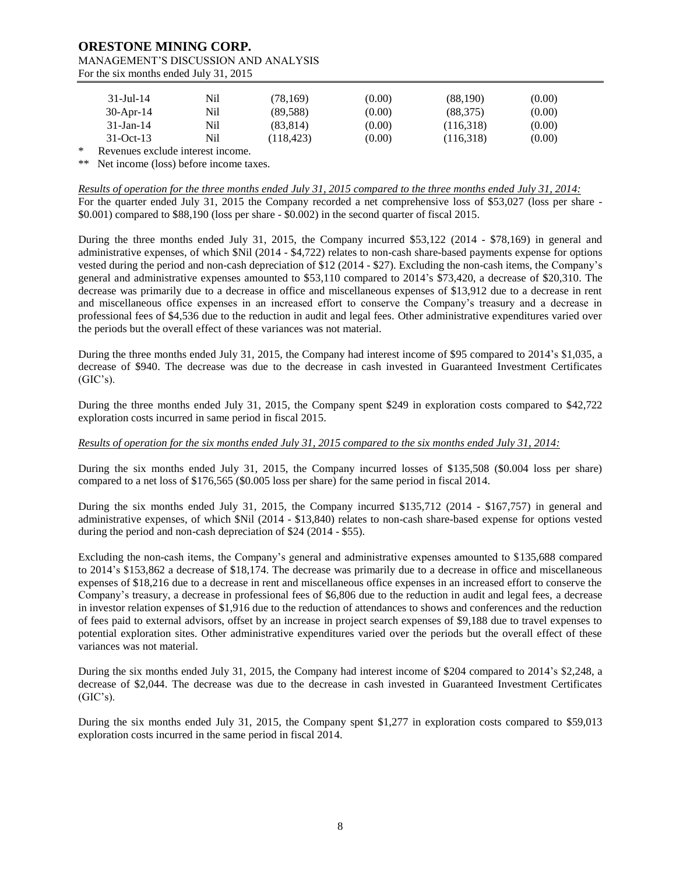| 31-Jul-14    | Nil | (78, 169)  | (0.00) | (88,190)  | (0.00) |
|--------------|-----|------------|--------|-----------|--------|
| $30$ -Apr-14 | Nil | (89, 588)  | (0.00) | (88, 375) | (0.00) |
| 31-Jan-14    | Nil | (83.814)   | (0.00) | (116,318) | (0.00) |
| $31-Oct-13$  | Nil | (118, 423) | (0.00) | (116,318) | (0.00) |

\* Revenues exclude interest income.

\*\* Net income (loss) before income taxes.

*Results of operation for the three months ended July 31, 2015 compared to the three months ended July 31, 2014:* For the quarter ended July 31, 2015 the Company recorded a net comprehensive loss of \$53,027 (loss per share - \$0.001) compared to \$88,190 (loss per share - \$0.002) in the second quarter of fiscal 2015.

During the three months ended July 31, 2015, the Company incurred \$53,122 (2014 - \$78,169) in general and administrative expenses, of which \$Nil (2014 - \$4,722) relates to non-cash share-based payments expense for options vested during the period and non-cash depreciation of \$12 (2014 - \$27). Excluding the non-cash items, the Company's general and administrative expenses amounted to \$53,110 compared to 2014's \$73,420, a decrease of \$20,310. The decrease was primarily due to a decrease in office and miscellaneous expenses of \$13,912 due to a decrease in rent and miscellaneous office expenses in an increased effort to conserve the Company's treasury and a decrease in professional fees of \$4,536 due to the reduction in audit and legal fees. Other administrative expenditures varied over the periods but the overall effect of these variances was not material.

During the three months ended July 31, 2015, the Company had interest income of \$95 compared to 2014's \$1,035, a decrease of \$940. The decrease was due to the decrease in cash invested in Guaranteed Investment Certificates  $(GIC's)$ .

During the three months ended July 31, 2015, the Company spent \$249 in exploration costs compared to \$42,722 exploration costs incurred in same period in fiscal 2015.

### *Results of operation for the six months ended July 31, 2015 compared to the six months ended July 31, 2014:*

During the six months ended July 31, 2015, the Company incurred losses of \$135,508 (\$0.004 loss per share) compared to a net loss of \$176,565 (\$0.005 loss per share) for the same period in fiscal 2014.

During the six months ended July 31, 2015, the Company incurred \$135,712 (2014 - \$167,757) in general and administrative expenses, of which \$Nil (2014 - \$13,840) relates to non-cash share-based expense for options vested during the period and non-cash depreciation of \$24 (2014 - \$55).

Excluding the non-cash items, the Company's general and administrative expenses amounted to \$135,688 compared to 2014's \$153,862 a decrease of \$18,174. The decrease was primarily due to a decrease in office and miscellaneous expenses of \$18,216 due to a decrease in rent and miscellaneous office expenses in an increased effort to conserve the Company's treasury, a decrease in professional fees of \$6,806 due to the reduction in audit and legal fees, a decrease in investor relation expenses of \$1,916 due to the reduction of attendances to shows and conferences and the reduction of fees paid to external advisors, offset by an increase in project search expenses of \$9,188 due to travel expenses to potential exploration sites. Other administrative expenditures varied over the periods but the overall effect of these variances was not material.

During the six months ended July 31, 2015, the Company had interest income of \$204 compared to 2014's \$2,248, a decrease of \$2,044. The decrease was due to the decrease in cash invested in Guaranteed Investment Certificates  $(GIC's).$ 

During the six months ended July 31, 2015, the Company spent \$1,277 in exploration costs compared to \$59,013 exploration costs incurred in the same period in fiscal 2014.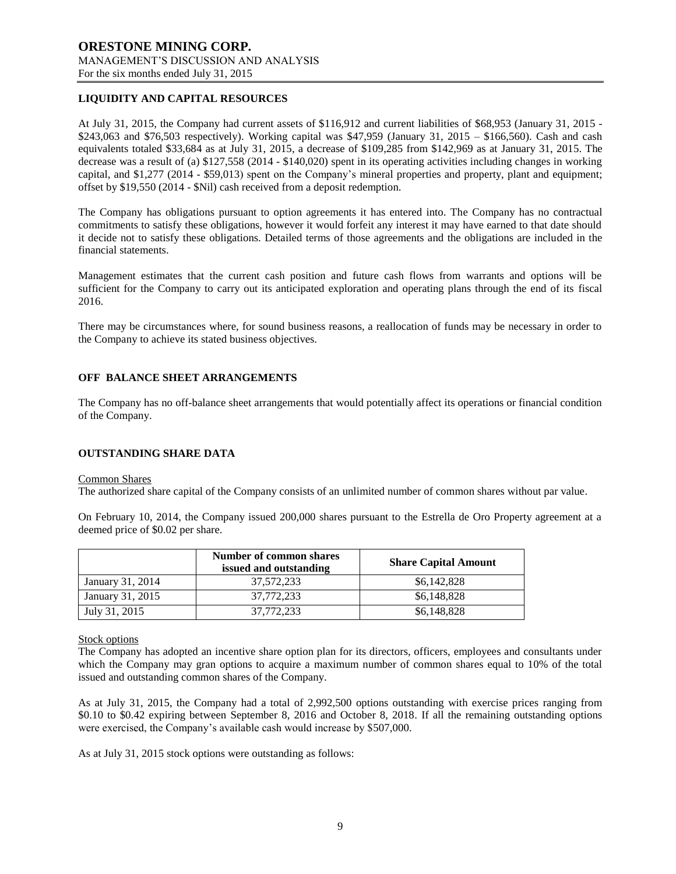# **LIQUIDITY AND CAPITAL RESOURCES**

At July 31, 2015, the Company had current assets of \$116,912 and current liabilities of \$68,953 (January 31, 2015 - \$243,063 and \$76,503 respectively). Working capital was \$47,959 (January 31, 2015 – \$166,560). Cash and cash equivalents totaled \$33,684 as at July 31, 2015, a decrease of \$109,285 from \$142,969 as at January 31, 2015. The decrease was a result of (a) \$127,558 (2014 - \$140,020) spent in its operating activities including changes in working capital, and \$1,277 (2014 - \$59,013) spent on the Company's mineral properties and property, plant and equipment; offset by \$19,550 (2014 - \$Nil) cash received from a deposit redemption.

The Company has obligations pursuant to option agreements it has entered into. The Company has no contractual commitments to satisfy these obligations, however it would forfeit any interest it may have earned to that date should it decide not to satisfy these obligations. Detailed terms of those agreements and the obligations are included in the financial statements.

Management estimates that the current cash position and future cash flows from warrants and options will be sufficient for the Company to carry out its anticipated exploration and operating plans through the end of its fiscal 2016.

There may be circumstances where, for sound business reasons, a reallocation of funds may be necessary in order to the Company to achieve its stated business objectives.

### **OFF BALANCE SHEET ARRANGEMENTS**

The Company has no off-balance sheet arrangements that would potentially affect its operations or financial condition of the Company.

#### **OUTSTANDING SHARE DATA**

#### Common Shares

The authorized share capital of the Company consists of an unlimited number of common shares without par value.

On February 10, 2014, the Company issued 200,000 shares pursuant to the Estrella de Oro Property agreement at a deemed price of \$0.02 per share.

|                  | Number of common shares<br>issued and outstanding | <b>Share Capital Amount</b> |
|------------------|---------------------------------------------------|-----------------------------|
| January 31, 2014 | 37,572,233                                        | \$6,142,828                 |
| January 31, 2015 | 37.772.233                                        | \$6,148,828                 |
| July 31, 2015    | 37.772.233                                        | \$6,148,828                 |

#### Stock options

The Company has adopted an incentive share option plan for its directors, officers, employees and consultants under which the Company may gran options to acquire a maximum number of common shares equal to 10% of the total issued and outstanding common shares of the Company.

As at July 31, 2015, the Company had a total of 2,992,500 options outstanding with exercise prices ranging from \$0.10 to \$0.42 expiring between September 8, 2016 and October 8, 2018. If all the remaining outstanding options were exercised, the Company's available cash would increase by \$507,000.

As at July 31, 2015 stock options were outstanding as follows: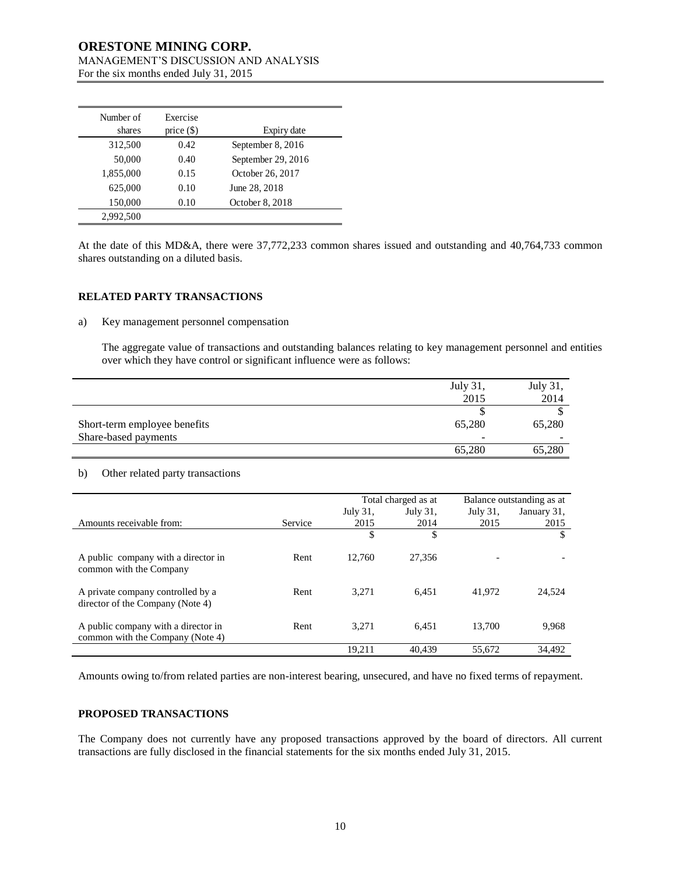| Number of<br>shares | Exercise<br>price $(\$)$ | Expiry date        |
|---------------------|--------------------------|--------------------|
| 312,500             | 0.42                     | September 8, 2016  |
| 50,000              | 0.40                     | September 29, 2016 |
| 1,855,000           | 0.15                     | October 26, 2017   |
| 625,000             | 0.10                     | June 28, 2018      |
| 150,000             | 0.10                     | October 8, 2018    |
| 2.992.500           |                          |                    |

At the date of this MD&A, there were 37,772,233 common shares issued and outstanding and 40,764,733 common shares outstanding on a diluted basis.

### **RELATED PARTY TRANSACTIONS**

### a) Key management personnel compensation

The aggregate value of transactions and outstanding balances relating to key management personnel and entities over which they have control or significant influence were as follows:

|                              | July 31, | July 31, |
|------------------------------|----------|----------|
|                              | 2015     | 2014     |
|                              |          |          |
| Short-term employee benefits | 65,280   | 65,280   |
| Share-based payments         | -        |          |
|                              | 65,280   | 65,280   |

### b) Other related party transactions

|    | 312,500                                                                 | 0.42                             | September 8, 2016                                                                                                                                                                                                                                                                                                                 |                  |                     |                  |                           |
|----|-------------------------------------------------------------------------|----------------------------------|-----------------------------------------------------------------------------------------------------------------------------------------------------------------------------------------------------------------------------------------------------------------------------------------------------------------------------------|------------------|---------------------|------------------|---------------------------|
|    | 50,000                                                                  | 0.40                             | September 29, 2016                                                                                                                                                                                                                                                                                                                |                  |                     |                  |                           |
|    | 1,855,000                                                               | 0.15                             | October 26, 2017                                                                                                                                                                                                                                                                                                                  |                  |                     |                  |                           |
|    | 625,000                                                                 | 0.10                             | June 28, 2018                                                                                                                                                                                                                                                                                                                     |                  |                     |                  |                           |
|    | 150,000                                                                 | 0.10                             | October 8, 2018                                                                                                                                                                                                                                                                                                                   |                  |                     |                  |                           |
|    | 2,992,500                                                               |                                  |                                                                                                                                                                                                                                                                                                                                   |                  |                     |                  |                           |
| a) | shares outstanding on a diluted basis.<br>RELATED PARTY TRANSACTIONS    |                                  | At the date of this MD&A, there were 37,772,233 common shares issued and outstanding and 40,764,733 c<br>Key management personnel compensation<br>The aggregate value of transactions and outstanding balances relating to key management personnel and<br>over which they have control or significant influence were as follows: |                  |                     |                  |                           |
|    |                                                                         |                                  |                                                                                                                                                                                                                                                                                                                                   |                  |                     | July 31,<br>2015 | July 31,<br>2014          |
|    |                                                                         |                                  |                                                                                                                                                                                                                                                                                                                                   |                  |                     | \$               | $\mathbb{S}$              |
|    | Short-term employee benefits                                            |                                  |                                                                                                                                                                                                                                                                                                                                   |                  |                     | 65,280           | 65,280                    |
|    | Share-based payments                                                    |                                  |                                                                                                                                                                                                                                                                                                                                   |                  |                     |                  |                           |
|    |                                                                         |                                  |                                                                                                                                                                                                                                                                                                                                   |                  |                     | 65,280           | 65,280                    |
| b) |                                                                         | Other related party transactions |                                                                                                                                                                                                                                                                                                                                   |                  |                     |                  |                           |
|    |                                                                         |                                  |                                                                                                                                                                                                                                                                                                                                   |                  | Total charged as at |                  | Balance outstanding as at |
|    | Amounts receivable from:                                                |                                  | Service                                                                                                                                                                                                                                                                                                                           | July 31,<br>2015 | July 31,<br>2014    | July 31,<br>2015 | January 31,<br>2015       |
|    |                                                                         |                                  |                                                                                                                                                                                                                                                                                                                                   | \$               | \$                  |                  | \$                        |
|    | A public company with a director in<br>common with the Company          |                                  | Rent                                                                                                                                                                                                                                                                                                                              | 12,760           | 27,356              |                  |                           |
|    | A private company controlled by a<br>director of the Company (Note 4)   |                                  | Rent                                                                                                                                                                                                                                                                                                                              | 3,271            | 6,451               | 41,972           | 24,524                    |
|    | A public company with a director in<br>common with the Company (Note 4) |                                  | Rent                                                                                                                                                                                                                                                                                                                              | 3,271            | 6,451               | 13,700           | 9,968                     |
|    |                                                                         |                                  |                                                                                                                                                                                                                                                                                                                                   | 19,211           | 40,439              | 55,672           | 34,492                    |
|    | PROPOSED TRANSACTIONS                                                   |                                  | Amounts owing to/from related parties are non-interest bearing, unsecured, and have no fixed terms of repayme<br>The Company does not currently have any proposed transactions approved by the board of directors. All<br>transactions are fully disclosed in the financial statements for the six months ended July 31, 2015.    |                  |                     |                  |                           |
|    |                                                                         |                                  |                                                                                                                                                                                                                                                                                                                                   | 10               |                     |                  |                           |

### **PROPOSED TRANSACTIONS**

The Company does not currently have any proposed transactions approved by the board of directors. All current transactions are fully disclosed in the financial statements for the six months ended July 31, 2015.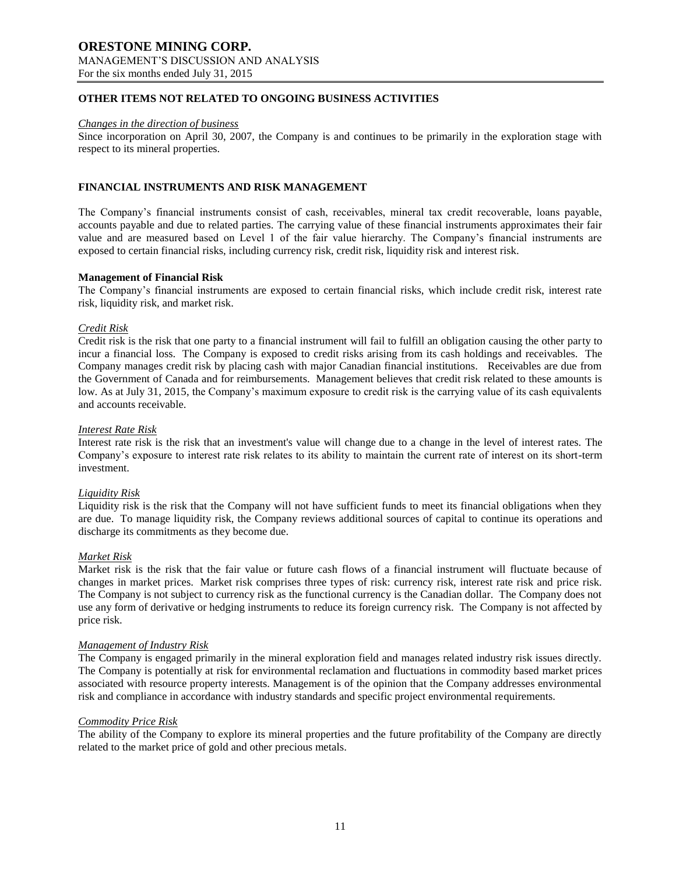## **OTHER ITEMS NOT RELATED TO ONGOING BUSINESS ACTIVITIES**

#### *Changes in the direction of business*

Since incorporation on April 30, 2007, the Company is and continues to be primarily in the exploration stage with respect to its mineral properties.

#### **FINANCIAL INSTRUMENTS AND RISK MANAGEMENT**

The Company's financial instruments consist of cash, receivables, mineral tax credit recoverable, loans payable, accounts payable and due to related parties. The carrying value of these financial instruments approximates their fair value and are measured based on Level 1 of the fair value hierarchy. The Company's financial instruments are exposed to certain financial risks, including currency risk, credit risk, liquidity risk and interest risk.

#### **Management of Financial Risk**

The Company's financial instruments are exposed to certain financial risks, which include credit risk, interest rate risk, liquidity risk, and market risk.

#### *Credit Risk*

Credit risk is the risk that one party to a financial instrument will fail to fulfill an obligation causing the other party to incur a financial loss. The Company is exposed to credit risks arising from its cash holdings and receivables. The Company manages credit risk by placing cash with major Canadian financial institutions. Receivables are due from the Government of Canada and for reimbursements. Management believes that credit risk related to these amounts is low. As at July 31, 2015, the Company's maximum exposure to credit risk is the carrying value of its cash equivalents and accounts receivable.

#### *Interest Rate Risk*

Interest rate risk is the risk that an investment's value will change due to a change in the level of interest rates. The Company's exposure to interest rate risk relates to its ability to maintain the current rate of interest on its short-term investment.

#### *Liquidity Risk*

Liquidity risk is the risk that the Company will not have sufficient funds to meet its financial obligations when they are due. To manage liquidity risk, the Company reviews additional sources of capital to continue its operations and discharge its commitments as they become due.

#### *Market Risk*

Market risk is the risk that the fair value or future cash flows of a financial instrument will fluctuate because of changes in market prices. Market risk comprises three types of risk: currency risk, interest rate risk and price risk. The Company is not subject to currency risk as the functional currency is the Canadian dollar. The Company does not use any form of derivative or hedging instruments to reduce its foreign currency risk. The Company is not affected by price risk.

#### *Management of Industry Risk*

The Company is engaged primarily in the mineral exploration field and manages related industry risk issues directly. The Company is potentially at risk for environmental reclamation and fluctuations in commodity based market prices associated with resource property interests. Management is of the opinion that the Company addresses environmental risk and compliance in accordance with industry standards and specific project environmental requirements.

#### *Commodity Price Risk*

The ability of the Company to explore its mineral properties and the future profitability of the Company are directly related to the market price of gold and other precious metals.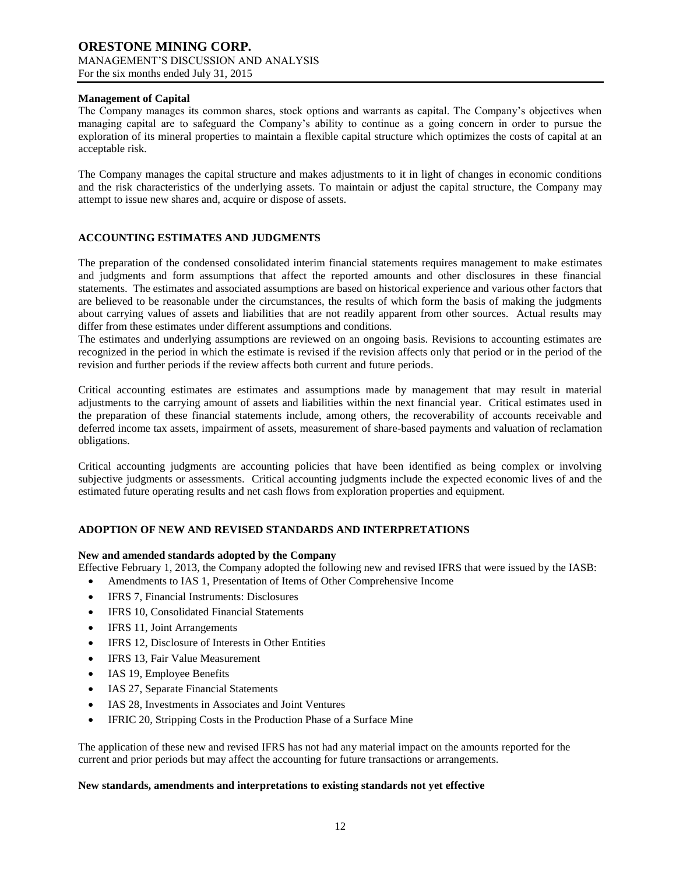# **Management of Capital**

The Company manages its common shares, stock options and warrants as capital. The Company's objectives when managing capital are to safeguard the Company's ability to continue as a going concern in order to pursue the exploration of its mineral properties to maintain a flexible capital structure which optimizes the costs of capital at an acceptable risk.

The Company manages the capital structure and makes adjustments to it in light of changes in economic conditions and the risk characteristics of the underlying assets. To maintain or adjust the capital structure, the Company may attempt to issue new shares and, acquire or dispose of assets.

## **ACCOUNTING ESTIMATES AND JUDGMENTS**

The preparation of the condensed consolidated interim financial statements requires management to make estimates and judgments and form assumptions that affect the reported amounts and other disclosures in these financial statements. The estimates and associated assumptions are based on historical experience and various other factors that are believed to be reasonable under the circumstances, the results of which form the basis of making the judgments about carrying values of assets and liabilities that are not readily apparent from other sources. Actual results may differ from these estimates under different assumptions and conditions.

The estimates and underlying assumptions are reviewed on an ongoing basis. Revisions to accounting estimates are recognized in the period in which the estimate is revised if the revision affects only that period or in the period of the revision and further periods if the review affects both current and future periods.

Critical accounting estimates are estimates and assumptions made by management that may result in material adjustments to the carrying amount of assets and liabilities within the next financial year. Critical estimates used in the preparation of these financial statements include, among others, the recoverability of accounts receivable and deferred income tax assets, impairment of assets, measurement of share-based payments and valuation of reclamation obligations.

Critical accounting judgments are accounting policies that have been identified as being complex or involving subjective judgments or assessments. Critical accounting judgments include the expected economic lives of and the estimated future operating results and net cash flows from exploration properties and equipment.

## **ADOPTION OF NEW AND REVISED STANDARDS AND INTERPRETATIONS**

#### **New and amended standards adopted by the Company**

Effective February 1, 2013, the Company adopted the following new and revised IFRS that were issued by the IASB:

- Amendments to IAS 1, Presentation of Items of Other Comprehensive Income
- IFRS 7, Financial Instruments: Disclosures
- IFRS 10, Consolidated Financial Statements
- IFRS 11, Joint Arrangements
- IFRS 12, Disclosure of Interests in Other Entities
- IFRS 13, Fair Value Measurement
- IAS 19, Employee Benefits
- IAS 27, Separate Financial Statements
- IAS 28, Investments in Associates and Joint Ventures
- IFRIC 20, Stripping Costs in the Production Phase of a Surface Mine

The application of these new and revised IFRS has not had any material impact on the amounts reported for the current and prior periods but may affect the accounting for future transactions or arrangements.

### **New standards, amendments and interpretations to existing standards not yet effective**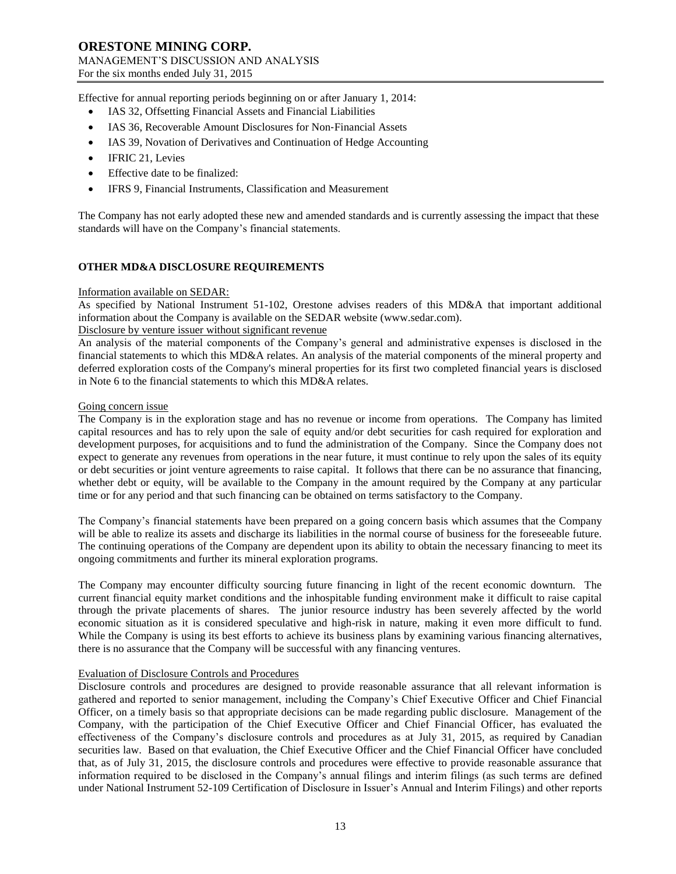Effective for annual reporting periods beginning on or after January 1, 2014:

- IAS 32, Offsetting Financial Assets and Financial Liabilities
- IAS 36, Recoverable Amount Disclosures for Non‐Financial Assets
- IAS 39, Novation of Derivatives and Continuation of Hedge Accounting
- IFRIC 21, Levies
- Effective date to be finalized:
- IFRS 9, Financial Instruments, Classification and Measurement

The Company has not early adopted these new and amended standards and is currently assessing the impact that these standards will have on the Company's financial statements.

## **OTHER MD&A DISCLOSURE REQUIREMENTS**

### Information available on SEDAR:

As specified by National Instrument 51-102, Orestone advises readers of this MD&A that important additional information about the Company is available on the SEDAR website (www.sedar.com).

# Disclosure by venture issuer without significant revenue

An analysis of the material components of the Company's general and administrative expenses is disclosed in the financial statements to which this MD&A relates. An analysis of the material components of the mineral property and deferred exploration costs of the Company's mineral properties for its first two completed financial years is disclosed in Note 6 to the financial statements to which this MD&A relates.

#### Going concern issue

The Company is in the exploration stage and has no revenue or income from operations. The Company has limited capital resources and has to rely upon the sale of equity and/or debt securities for cash required for exploration and development purposes, for acquisitions and to fund the administration of the Company. Since the Company does not expect to generate any revenues from operations in the near future, it must continue to rely upon the sales of its equity or debt securities or joint venture agreements to raise capital. It follows that there can be no assurance that financing, whether debt or equity, will be available to the Company in the amount required by the Company at any particular time or for any period and that such financing can be obtained on terms satisfactory to the Company.

The Company's financial statements have been prepared on a going concern basis which assumes that the Company will be able to realize its assets and discharge its liabilities in the normal course of business for the foreseeable future. The continuing operations of the Company are dependent upon its ability to obtain the necessary financing to meet its ongoing commitments and further its mineral exploration programs.

The Company may encounter difficulty sourcing future financing in light of the recent economic downturn. The current financial equity market conditions and the inhospitable funding environment make it difficult to raise capital through the private placements of shares. The junior resource industry has been severely affected by the world economic situation as it is considered speculative and high-risk in nature, making it even more difficult to fund. While the Company is using its best efforts to achieve its business plans by examining various financing alternatives, there is no assurance that the Company will be successful with any financing ventures.

### Evaluation of Disclosure Controls and Procedures

Disclosure controls and procedures are designed to provide reasonable assurance that all relevant information is gathered and reported to senior management, including the Company's Chief Executive Officer and Chief Financial Officer, on a timely basis so that appropriate decisions can be made regarding public disclosure. Management of the Company, with the participation of the Chief Executive Officer and Chief Financial Officer, has evaluated the effectiveness of the Company's disclosure controls and procedures as at July 31, 2015, as required by Canadian securities law. Based on that evaluation, the Chief Executive Officer and the Chief Financial Officer have concluded that, as of July 31, 2015, the disclosure controls and procedures were effective to provide reasonable assurance that information required to be disclosed in the Company's annual filings and interim filings (as such terms are defined under National Instrument 52-109 Certification of Disclosure in Issuer's Annual and Interim Filings) and other reports